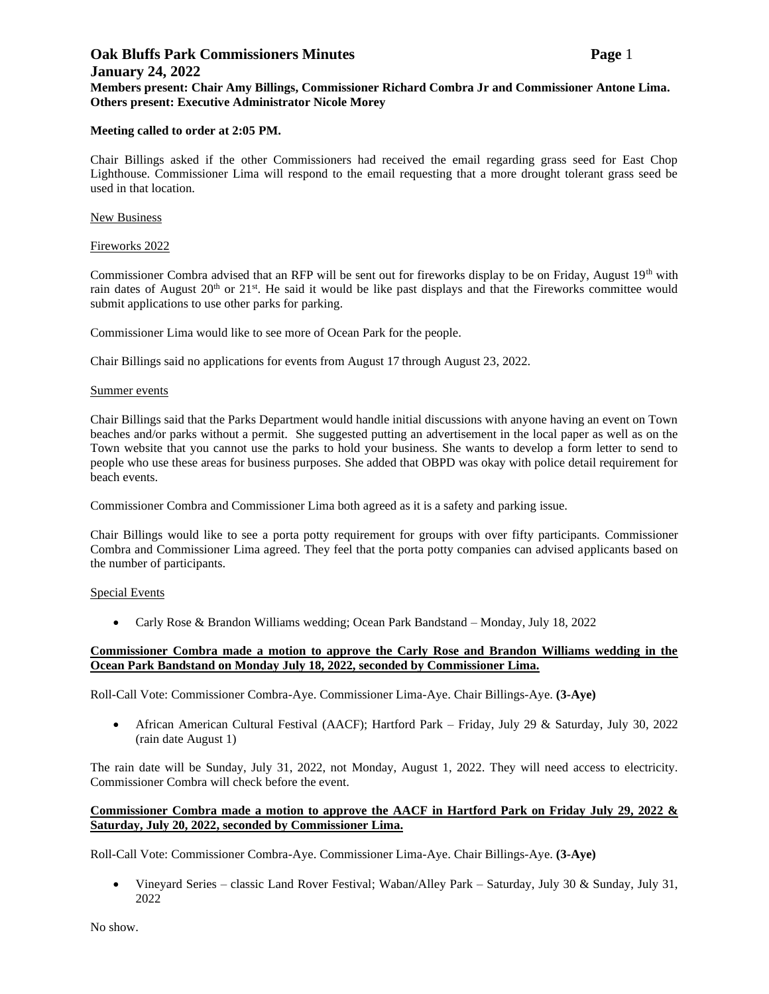## **Oak Bluffs Park Commissioners Minutes Page** 1 **January 24, 2022 Members present: Chair Amy Billings, Commissioner Richard Combra Jr and Commissioner Antone Lima. Others present: Executive Administrator Nicole Morey**

### **Meeting called to order at 2:05 PM.**

Chair Billings asked if the other Commissioners had received the email regarding grass seed for East Chop Lighthouse. Commissioner Lima will respond to the email requesting that a more drought tolerant grass seed be used in that location.

### New Business

### Fireworks 2022

Commissioner Combra advised that an RFP will be sent out for fireworks display to be on Friday, August 19<sup>th</sup> with rain dates of August 20<sup>th</sup> or 21<sup>st</sup>. He said it would be like past displays and that the Fireworks committee would submit applications to use other parks for parking.

Commissioner Lima would like to see more of Ocean Park for the people.

Chair Billings said no applications for events from August 17 through August 23, 2022.

#### Summer events

Chair Billings said that the Parks Department would handle initial discussions with anyone having an event on Town beaches and/or parks without a permit. She suggested putting an advertisement in the local paper as well as on the Town website that you cannot use the parks to hold your business. She wants to develop a form letter to send to people who use these areas for business purposes. She added that OBPD was okay with police detail requirement for beach events.

Commissioner Combra and Commissioner Lima both agreed as it is a safety and parking issue.

Chair Billings would like to see a porta potty requirement for groups with over fifty participants. Commissioner Combra and Commissioner Lima agreed. They feel that the porta potty companies can advised applicants based on the number of participants.

#### Special Events

• Carly Rose & Brandon Williams wedding; Ocean Park Bandstand – Monday, July 18, 2022

## **Commissioner Combra made a motion to approve the Carly Rose and Brandon Williams wedding in the Ocean Park Bandstand on Monday July 18, 2022, seconded by Commissioner Lima.**

Roll-Call Vote: Commissioner Combra-Aye. Commissioner Lima-Aye. Chair Billings-Aye. **(3-Aye)**

• African American Cultural Festival (AACF); Hartford Park – Friday, July 29 & Saturday, July 30, 2022 (rain date August 1)

The rain date will be Sunday, July 31, 2022, not Monday, August 1, 2022. They will need access to electricity. Commissioner Combra will check before the event.

### **Commissioner Combra made a motion to approve the AACF in Hartford Park on Friday July 29, 2022 & Saturday, July 20, 2022, seconded by Commissioner Lima.**

Roll-Call Vote: Commissioner Combra-Aye. Commissioner Lima-Aye. Chair Billings-Aye. **(3-Aye)**

• Vineyard Series – classic Land Rover Festival; Waban/Alley Park – Saturday, July 30 & Sunday, July 31, 2022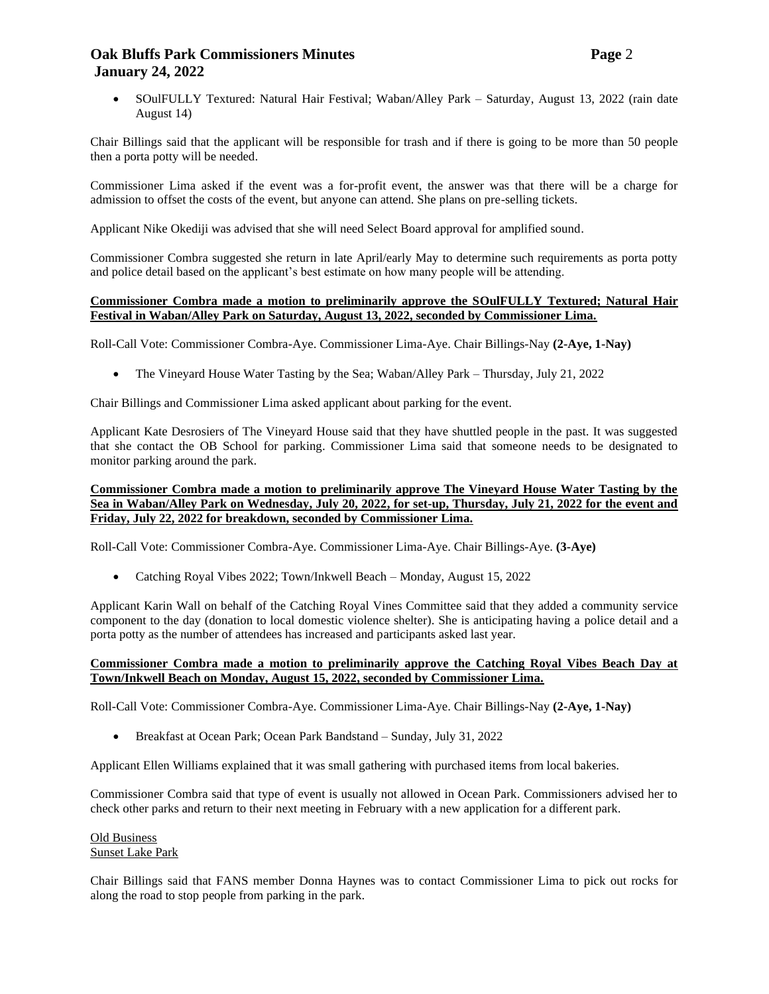## **Oak Bluffs Park Commissioners Minutes Page** 2 **January 24, 2022**

• SOulFULLY Textured: Natural Hair Festival; Waban/Alley Park – Saturday, August 13, 2022 (rain date August 14)

Chair Billings said that the applicant will be responsible for trash and if there is going to be more than 50 people then a porta potty will be needed.

Commissioner Lima asked if the event was a for-profit event, the answer was that there will be a charge for admission to offset the costs of the event, but anyone can attend. She plans on pre-selling tickets.

Applicant Nike Okediji was advised that she will need Select Board approval for amplified sound.

Commissioner Combra suggested she return in late April/early May to determine such requirements as porta potty and police detail based on the applicant's best estimate on how many people will be attending.

### **Commissioner Combra made a motion to preliminarily approve the SOulFULLY Textured; Natural Hair Festival in Waban/Alley Park on Saturday, August 13, 2022, seconded by Commissioner Lima.**

Roll-Call Vote: Commissioner Combra-Aye. Commissioner Lima-Aye. Chair Billings-Nay **(2-Aye, 1-Nay)**

• The Vineyard House Water Tasting by the Sea; Waban/Alley Park – Thursday, July 21, 2022

Chair Billings and Commissioner Lima asked applicant about parking for the event.

Applicant Kate Desrosiers of The Vineyard House said that they have shuttled people in the past. It was suggested that she contact the OB School for parking. Commissioner Lima said that someone needs to be designated to monitor parking around the park.

### **Commissioner Combra made a motion to preliminarily approve The Vineyard House Water Tasting by the Sea in Waban/Alley Park on Wednesday, July 20, 2022, for set-up, Thursday, July 21, 2022 for the event and Friday, July 22, 2022 for breakdown, seconded by Commissioner Lima.**

Roll-Call Vote: Commissioner Combra-Aye. Commissioner Lima-Aye. Chair Billings-Aye. **(3-Aye)**

• Catching Royal Vibes 2022; Town/Inkwell Beach – Monday, August 15, 2022

Applicant Karin Wall on behalf of the Catching Royal Vines Committee said that they added a community service component to the day (donation to local domestic violence shelter). She is anticipating having a police detail and a porta potty as the number of attendees has increased and participants asked last year.

## **Commissioner Combra made a motion to preliminarily approve the Catching Royal Vibes Beach Day at Town/Inkwell Beach on Monday, August 15, 2022, seconded by Commissioner Lima.**

Roll-Call Vote: Commissioner Combra-Aye. Commissioner Lima-Aye. Chair Billings-Nay **(2-Aye, 1-Nay)**

• Breakfast at Ocean Park; Ocean Park Bandstand – Sunday, July 31, 2022

Applicant Ellen Williams explained that it was small gathering with purchased items from local bakeries.

Commissioner Combra said that type of event is usually not allowed in Ocean Park. Commissioners advised her to check other parks and return to their next meeting in February with a new application for a different park.

#### Old Business Sunset Lake Park

Chair Billings said that FANS member Donna Haynes was to contact Commissioner Lima to pick out rocks for along the road to stop people from parking in the park.